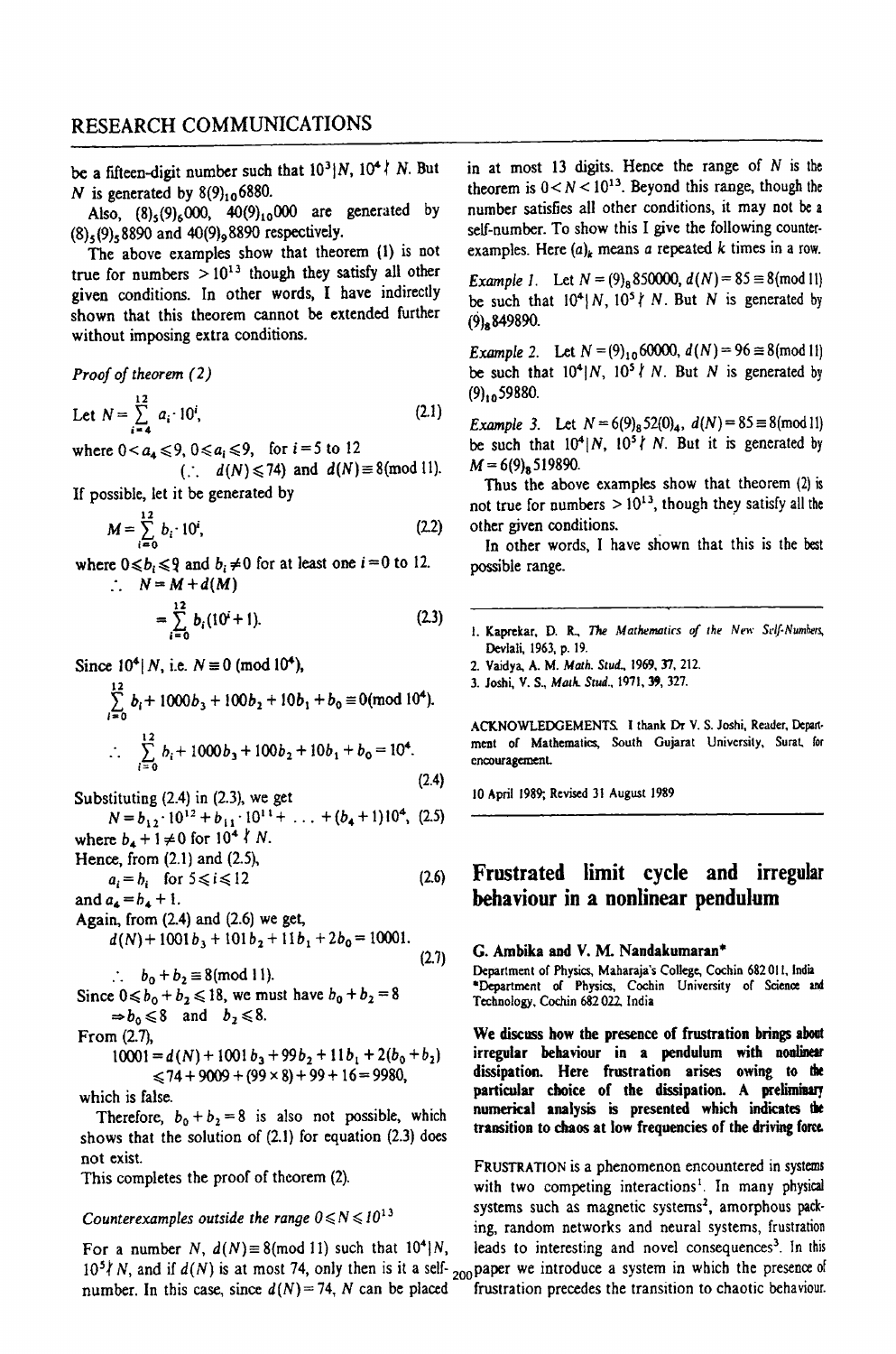be a fifteen-digit number such that  $10^3$ |N,  $10^4$  *i* N. But N is generated by  $8(9)_{10}$  6880.

Also,  $(8)_{5}(9)_{6}000$ ,  $40(9)_{10}000$  are generated by  $(8)$ <sub>5</sub> $(9)$ <sub>5</sub> 8890 and 40 $(9)$ <sub>9</sub>8890 respectively.

The above examples show that theorem (1) is not true for numbers  $> 10^{13}$  though they satisfy all other given conditions. In other words, I have indirectly shown that this theorem cannot be extended further without imposing extra conditions.

*Proof of theorem* (2)

Let 
$$
N = \sum_{i=4}^{12} a_i \cdot 10^i
$$
, (2.1)

where  $0 < a_4 \le 9$ ,  $0 \le a_i \le 9$ , for  $i = 5$  to 12

(:  $d(N) \leq 74$ ) and  $d(N) \equiv 8 \pmod{11}$ . If possible, let it be generated by

$$
M = \sum_{i=0}^{12} b_i \cdot 10^i, \tag{2.2}
$$

where  $0 \le b_i \le 9$  and  $b_i \ne 0$  for at least one  $i = 0$  to 12.  $\therefore N = M + d(M)$ 

$$
=\sum_{i=0}^{12}b_i(10^i+1).
$$
 (2.3)

Since  $10^4$ | N, i.e.  $N \equiv 0 \pmod{10^4}$ ,

$$
\sum_{i=0}^{12} b_i + 1000b_3 + 100b_2 + 10b_1 + b_0 \equiv 0 \pmod{10^4}.
$$
  

$$
\therefore \sum_{i=0}^{12} b_i + 1000b_3 + 100b_2 + 10b_1 + b_0 = 10^4.
$$
 (2.4)

Substituting (2.4) in (2.3), we get  $N = b_{12} \cdot 10^{12} + b_{11} \cdot 10^{11} + \ldots + (b_4 + 1)10^4$ , (2.5) where  $b_4 + 1 \neq 0$  for  $10^4$   $\ell$  N.

Hence, from (2.1) and (2.5),

and 
$$
a_i = b_i
$$
 for  $5 \leq i \leq 12$   $(2.6)$  and  $a_4 = b_4 + 1$ .

Again, from (2.4) and (2.6) we get,  $d(N)$  + 1001  $b_3$  + 101  $b_2$  + 11  $b_1$  + 2 $b_0$  = 10001.

:.  $b_0 + b_2 \equiv 8 \pmod{11}$ . (2.7)

Since  $0 \le b_0 + b_2 \le 18$ , we must have  $b_0 + b_2 = 8$ 

 $\Rightarrow b_0 \leq 8$  and  $b_2 \leq 8$ .

From (2.7),

 $10001 = d(N) + 1001 b_3 + 99b_2 + 11b_1 + 2(b_0 + b_2)$  $\leq$ 74 + 9009 + (99  $\times$  8) + 99 + 16 = 9980,

which is false.

Therefore,  $b_0 + b_2 = 8$  is also not possible, which shows that the solution of  $(2.1)$  for equation  $(2.3)$  does not exist.

This completes the proof of theorem (2).

### *Counterexamples outside the range*  $0 \le N \le 10^{13}$

For a number N,  $d(N) \equiv 8 \pmod{11}$  such that  $10^4$  N, leads to interesting and novel consequences<sup>3</sup>. In this  $10^5$ *k* N, and if  $d(N)$  is at most 74, only then is it a self- <sub>200</sub> paper we introduce a system in which the presence of number. In this case, since  $d(N) = 74$ , N can be placed frustration precedes the transition to chaotic behaviour.

in at most 13 digits. Hence the range of  $N$  is the theorem is  $0 < N < 10^{13}$ . Beyond this range, though the number satisfies all other conditions, it may not be a self-number. To show this I give the following counterexamples. Here  $(a)_k$  means *a* repeated *k* times in a row.

*Example 1.* Let  $N = (9)_{8}850000$ ,  $d(N) = 85 \equiv 8 \pmod{11}$ be such that  $10^4 \mid N$ ,  $10^5 \nmid N$ . But N is generated by (9)8849890.

*Example 2.* Let  $N = (9)_{10}60000$ ,  $d(N) = 96 \approx 8 \pmod{11}$ be such that  $10^4/N$ ,  $10^5$   $N$ . But N is generated by  $(9)_{10}$  59880.

*Example 3.* Let  $N = 6(9)_852(0)_4$ ,  $d(N) = 85 \equiv 8 \pmod{11}$ be such that  $10^4 \mid N$ ,  $10^5 \nmid N$ . But it is generated by  $M = 6(9)$ <sub>8</sub>519890.

Thus the above examples show that theorem (2) is not true for numbers  $> 10^{13}$ , though they satisfy all the other given conditions. .

In other words, I have shown that this is the best possible range.

I. Kaprekar, D. R., The *Mathematics of the New Self-Numhers*, Devlali, 1963, p. 19.

2. Vaidya, A. M. *Math. Stud., 1969, 37, 212.* 

3. Joshi, V. S., *Math. Stud.*, 1971, 39, 327.

ACKNOWLEDGEMENTS, I thank Dr V. S. Joshi, Reader, Depart· ment of Mathematics, South Gujarat University, Surat. for encouragement

10 April 1989; Revised 31 August 1989

## Frustrated limit cycle and irregular behaviour in a nonlinear pendulum

#### G. Ambika and V. M. Nandakumaran\*

Department of Physics, Maharaja's College, Cochin 682 Oil, India "Department of Physics, Cochin University of Science and Technology, Cochin 682022 India

We discuss how tbe presence of frustration brings about irregular behaviour in a pendulum with nonlinear dissipation. Here frustration arises owing to the particular choice of the dissipation. A prelimiaary numerical analysis is presented which indicates the transition to chaos at low frequencies of the driving fom.

FRUSTRATION is a phenomenon encountered in systems with two competing interactions<sup>1</sup>. In many physical systems such as magnetic systems<sup>2</sup>, amorphous packing, random networks and neural systems, frustration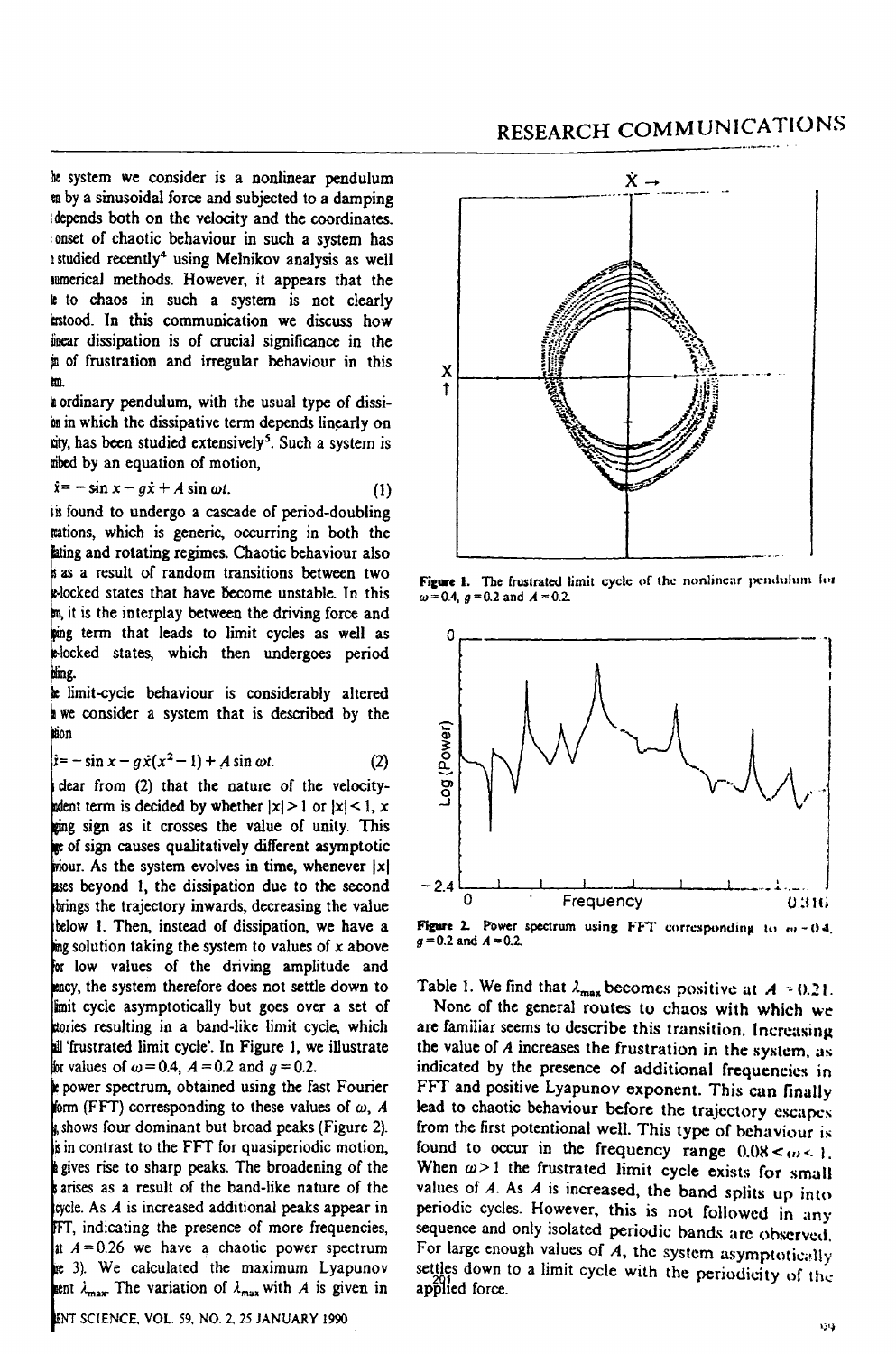RESEARCH COMMUNICATIONS

be system we consider is a nonlinear pendulum en by a sinusoidal force and subjected to a damping Idepends both on the velocity and the coordinates. : onset of chaotic behaviour in such a system has I studied recently4 using Melnikov analysis as well IwnericaJ methods. However, it appears that the le to chaos in such a system is not clearly mtood. In this communication we discuss how linear dissipation is of crucial significance in the <sup>~</sup>of frustration and irregular behaviour in this lID.

I ordinary pendulum, with the usual type of dissiin in which the dissipative term depends linearly on nity, has been studied extensively<sup>5</sup>. Such a system is mbed by an equation of motion,

$$
\dot{x} = -\sin x - g\dot{x} + A\sin \omega t. \tag{1}
$$

lis found to undergo a cascade of period-doubling rations, which is generic, occurring in both the lating and rotating regimes. Chaotic behaviour also as a result of random transitions between two **E-locked states that have become unstable.** In this it is the interplay between the driving force and ing term that leads to limit cycles as well as oCked states, which then undergoes period bling.

**k** limit-cycle behaviour is considerably altered we consider a system that is described by the tion

$$
\dot{x} = -\sin x - g\dot{x}(x^2 - 1) + A\sin \omega t. \tag{2}
$$

clear from (2) that the nature of the velocityin term is decided by whether  $|x|>1$  or  $|x|<1$ , x ging sign as it crosses the value of unity. This ge of sign causes qualitatively different asymptotic mour. As the system evolves in time, whenever  $|x|$ ases beyond 1, the dissipation due to the second brings the trajectory inwards, decreasing the value below 1. Then, instead of dissipation, we have a ing solution taking the system to values of  $x$  above for low values of the driving amplitude and ency, the system therefore does not settle down to imit cycle asymptotically but goes over a set of ories resulting in a band-like limit cycle, which 'frustrated limit cycle'. In Figure 1, we illustrate for values of  $\omega = 0.4$ ,  $A = 0.2$  and  $g = 0.2$ .

t power spectrum, obtained using the fast Fourier form (FFT) corresponding to these values of  $\omega$ , A shows four dominant but broad peaks (Figure 2). is in contrast to the FFT for quasiperiodic motion, pi gives rise to sharp peaks. The broadening of the arises as a result of the band-like nature of the cycle. As *A* is increased additional peaks appear in FT, indicating the presence of more frequencies, at  $A = 0.26$  we have a chaotic power spectrum 3). We calculated the maximum Lyapunov ant  $\lambda_{\text{max}}$ . The variation of  $\lambda_{\text{max}}$  with *A* is given in





Figure 1. The frustrated limit cycle of the nonlinear pendulum Ior.  $\omega = 0.4$ ,  $g = 0.2$  and  $A = 0.2$ .



Figure 2. Power spectrum using FFT corresponding to  $m = 0.4$ .  $g = 0.2$  and  $A = 0.2$ .

Table 1. We find that  $\lambda_{\text{max}}$  becomes positive at  $A = 0.21$ .

None of the general routes to chaos with which wc: are familiar seems to describe this transition. Increasing the value of *A* increases the frustration in the system, as indicated by the presence of additional frequencies in FFT and positive Lyapunov exponent. This can finally lead to chaotic behaviour before the trajectory escapes from the first potentional well. This type of behaviour is found to occur in the frequency range  $0.08 < \omega < 1$ . When  $\omega$  > 1 the frustrated limit cycle exists for small values of  $A$ . As  $A$  is increased, the band splits up into periodic cycles. However. this is not followed in any sequence and only isolated periodic bands are observed. For large enough values of  $A$ , the system asymptotically settles down to a limit cycle with the periodicity of the applied force.